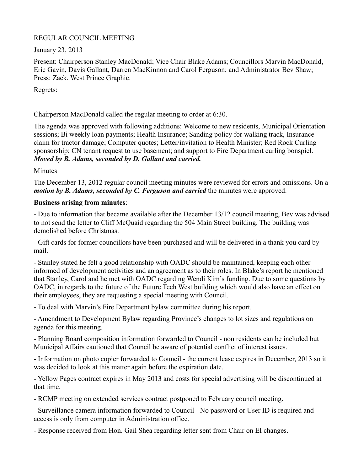# REGULAR COUNCIL MEETING

January 23, 2013

Present: Chairperson Stanley MacDonald; Vice Chair Blake Adams; Councillors Marvin MacDonald, Eric Gavin, Davis Gallant, Darren MacKinnon and Carol Ferguson; and Administrator Bev Shaw; Press: Zack, West Prince Graphic.

Regrets:

Chairperson MacDonald called the regular meeting to order at 6:30.

The agenda was approved with following additions: Welcome to new residents, Municipal Orientation sessions; Bi weekly loan payments; Health Insurance; Sanding policy for walking track, Insurance claim for tractor damage; Computer quotes; Letter/invitation to Health Minister; Red Rock Curling sponsorship; CN tenant request to use basement; and support to Fire Department curling bonspiel. *Moved by B. Adams, seconded by D. Gallant and carried.*

Minutes

The December 13, 2012 regular council meeting minutes were reviewed for errors and omissions. On a *motion by B. Adams, seconded by C. Ferguson and carried* the minutes were approved.

# **Business arising from minutes**:

- Due to information that became available after the December 13/12 council meeting, Bev was advised to not send the letter to Cliff McQuaid regarding the 504 Main Street building. The building was demolished before Christmas.

- Gift cards for former councillors have been purchased and will be delivered in a thank you card by mail.

- Stanley stated he felt a good relationship with OADC should be maintained, keeping each other informed of development activities and an agreement as to their roles. In Blake's report he mentioned that Stanley, Carol and he met with OADC regarding Wendi Kim's funding. Due to some questions by OADC, in regards to the future of the Future Tech West building which would also have an effect on their employees, they are requesting a special meeting with Council.

- To deal with Marvin's Fire Department bylaw committee during his report.

- Amendment to Development Bylaw regarding Province's changes to lot sizes and regulations on agenda for this meeting.

- Planning Board composition information forwarded to Council - non residents can be included but Municipal Affairs cautioned that Council be aware of potential conflict of interest issues.

- Information on photo copier forwarded to Council - the current lease expires in December, 2013 so it was decided to look at this matter again before the expiration date.

- Yellow Pages contract expires in May 2013 and costs for special advertising will be discontinued at that time.

- RCMP meeting on extended services contract postponed to February council meeting.

- Surveillance camera information forwarded to Council - No password or User ID is required and access is only from computer in Administration office.

- Response received from Hon. Gail Shea regarding letter sent from Chair on EI changes.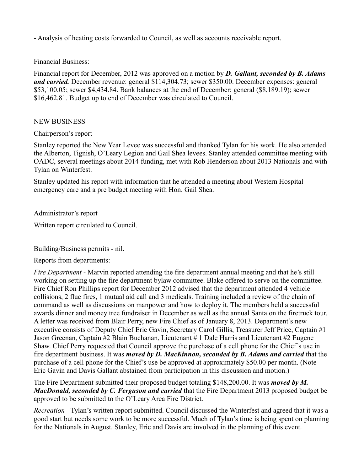- Analysis of heating costs forwarded to Council, as well as accounts receivable report.

Financial Business:

Financial report for December, 2012 was approved on a motion by *D. Gallant, seconded by B. Adams and carried.* December revenue: general \$114,304.73; sewer \$350.00. December expenses: general \$53,100.05; sewer \$4,434.84. Bank balances at the end of December: general (\$8,189.19); sewer \$16,462.81. Budget up to end of December was circulated to Council.

#### NEW BUSINESS

Chairperson's report

Stanley reported the New Year Levee was successful and thanked Tylan for his work. He also attended the Alberton, Tignish, O'Leary Legion and Gail Shea levees. Stanley attended committee meeting with OADC, several meetings about 2014 funding, met with Rob Henderson about 2013 Nationals and with Tylan on Winterfest.

Stanley updated his report with information that he attended a meeting about Western Hospital emergency care and a pre budget meeting with Hon. Gail Shea.

Administrator's report

Written report circulated to Council.

Building/Business permits - nil.

Reports from departments:

*Fire Department* - Marvin reported attending the fire department annual meeting and that he's still working on setting up the fire department bylaw committee. Blake offered to serve on the committee. Fire Chief Ron Phillips report for December 2012 advised that the department attended 4 vehicle collisions, 2 flue fires, 1 mutual aid call and 3 medicals. Training included a review of the chain of command as well as discussions on manpower and how to deploy it. The members held a successful awards dinner and money tree fundraiser in December as well as the annual Santa on the firetruck tour. A letter was received from Blair Perry, new Fire Chief as of January 8, 2013. Department's new executive consists of Deputy Chief Eric Gavin, Secretary Carol Gillis, Treasurer Jeff Price, Captain #1 Jason Greenan, Captain #2 Blain Buchanan, Lieutenant # 1 Dale Harris and Lieutenant #2 Eugene Shaw. Chief Perry requested that Council approve the purchase of a cell phone for the Chief's use in fire department business. It was *moved by D. MacKinnon, seconded by B. Adams and carried* that the purchase of a cell phone for the Chief's use be approved at approximately \$50.00 per month. (Note Eric Gavin and Davis Gallant abstained from participation in this discussion and motion.)

The Fire Department submitted their proposed budget totaling \$148,200.00. It was *moved by M. MacDonald, seconded by C. Ferguson and carried* that the Fire Department 2013 proposed budget be approved to be submitted to the O'Leary Area Fire District.

*Recreation* - Tylan's written report submitted. Council discussed the Winterfest and agreed that it was a good start but needs some work to be more successful. Much of Tylan's time is being spent on planning for the Nationals in August. Stanley, Eric and Davis are involved in the planning of this event.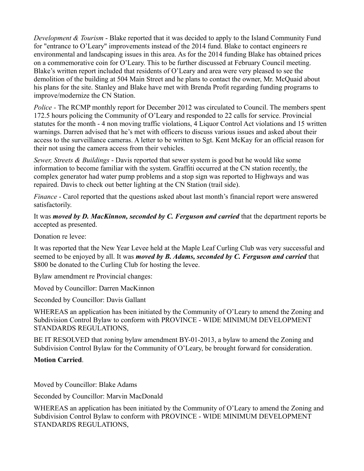*Development & Tourism* - Blake reported that it was decided to apply to the Island Community Fund for "entrance to O'Leary" improvements instead of the 2014 fund. Blake to contact engineers re environmental and landscaping issues in this area. As for the 2014 funding Blake has obtained prices on a commemorative coin for O'Leary. This to be further discussed at February Council meeting. Blake's written report included that residents of O'Leary and area were very pleased to see the demolition of the building at 504 Main Street and he plans to contact the owner, Mr. McQuaid about his plans for the site. Stanley and Blake have met with Brenda Profit regarding funding programs to improve/modernize the CN Station.

*Police -* The RCMP monthly report for December 2012 was circulated to Council. The members spent 172.5 hours policing the Community of O'Leary and responded to 22 calls for service. Provincial statutes for the month - 4 non moving traffic violations, 4 Liquor Control Act violations and 15 written warnings. Darren advised that he's met with officers to discuss various issues and asked about their access to the surveillance cameras. A letter to be written to Sgt. Kent McKay for an official reason for their not using the camera access from their vehicles.

*Sewer, Streets & Buildings* - Davis reported that sewer system is good but he would like some information to become familiar with the system. Graffiti occurred at the CN station recently, the complex generator had water pump problems and a stop sign was reported to Highways and was repaired. Davis to check out better lighting at the CN Station (trail side).

*Finance* - Carol reported that the questions asked about last month's financial report were answered satisfactorily.

It was *moved by D. MacKinnon, seconded by C. Ferguson and carried* that the department reports be accepted as presented.

Donation re levee:

It was reported that the New Year Levee held at the Maple Leaf Curling Club was very successful and seemed to be enjoyed by all. It was *moved by B. Adams, seconded by C. Ferguson and carried* that \$800 be donated to the Curling Club for hosting the levee.

Bylaw amendment re Provincial changes:

Moved by Councillor: Darren MacKinnon

Seconded by Councillor: Davis Gallant

WHEREAS an application has been initiated by the Community of O'Leary to amend the Zoning and Subdivision Control Bylaw to conform with PROVINCE - WIDE MINIMUM DEVELOPMENT STANDARDS REGULATIONS,

BE IT RESOLVED that zoning bylaw amendment BY-01-2013, a bylaw to amend the Zoning and Subdivision Control Bylaw for the Community of O'Leary, be brought forward for consideration.

### **Motion Carried**.

Moved by Councillor: Blake Adams

Seconded by Councillor: Marvin MacDonald

WHEREAS an application has been initiated by the Community of O'Leary to amend the Zoning and Subdivision Control Bylaw to conform with PROVINCE - WIDE MINIMUM DEVELOPMENT STANDARDS REGULATIONS,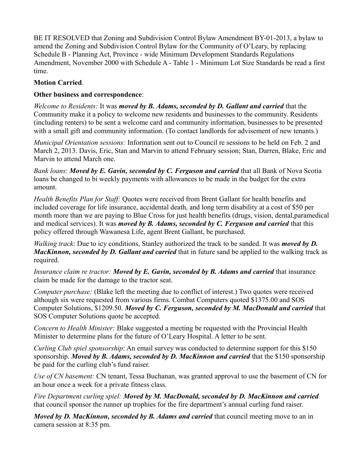BE IT RESOLVED that Zoning and Subdivision Control Bylaw Amendment BY-01-2013, a bylaw to amend the Zoning and Subdivision Control Bylaw for the Community of O'Leary, by replacing Schedule B - Planning Act, Province - wide Minimum Development Standards Regulations Amendment, November 2000 with Schedule A - Table 1 - Minimum Lot Size Standards be read a first time.

# **Motion Carried**.

# **Other business and correspondence**:

*Welcome to Residents:* It was *moved by B. Adams, seconded by D. Gallant and carried* that the Community make it a policy to welcome new residents and businesses to the community. Residents (including renters) to be sent a welcome card and community information, businesses to be presented with a small gift and community information. (To contact landlords for advisement of new tenants.)

*Municipal Orientation sessions:* Information sent out to Council re sessions to be held on Feb. 2 and March 2, 2013. Davis, Eric, Stan and Marvin to attend February session; Stan, Darren, Blake, Eric and Marvin to attend March one.

*Bank loans*: *Moved by E. Gavin, seconded by C. Ferguson and carried* that all Bank of Nova Scotia loans be changed to bi weekly payments with allowances to be made in the budget for the extra amount.

*Health Benefits Plan for Staff:* Quotes were received from Brent Gallant for health benefits and included coverage for life insurance, accidental death, and long term disability at a cost of \$50 per month more than we are paying to Blue Cross for just health benefits (drugs, vision, dental,paramedical and medical services). It was *moved by B. Adams, seconded by C. Ferguson and carried* that this policy offered through Wawanesa Life, agent Brent Gallant, be purchased.

*Walking track*: Due to icy conditions, Stanley authorized the track to be sanded. It was *moved by D. MacKinnon, seconded by D. Gallant and carried* that in future sand be applied to the walking track as required.

*Insurance claim re tractor: Moved by E. Gavin, seconded by B. Adams and carried that insurance* claim be made for the damage to the tractor seat.

*Computer purchase:* (Blake left the meeting due to conflict of interest.) Two quotes were received although six were requested from various firms. Combat Computers quoted \$1375.00 and SOS Computer Solutions, \$1209.50. *Moved by C. Ferguson, seconded by M. MacDonald and carried* that SOS Computer Solutions quote be accepted.

*Concern to Health Minister:* Blake suggested a meeting be requested with the Provincial Health Minister to determine plans for the future of O'Leary Hospital. A letter to be sent.

*Curling Club spiel sponsorship*: An email survey was conducted to determine support for this \$150 sponsorship. *Moved by B. Adams, seconded by D. MacKinnon and carried* that the \$150 sponsorship be paid for the curling club's fund raiser.

*Use of CN basement:* CN tenant, Tessa Buchanan, was granted approval to use the basement of CN for an hour once a week for a private fitness class.

*Fire Department curling spiel: Moved by M. MacDonald, seconded by D. MacKinnon and carried* that council sponsor the runner up trophies for the fire department's annual curling fund raiser.

*Moved by D. MacKinnon, seconded by B. Adams and carried* that council meeting move to an in camera session at 8:35 pm.